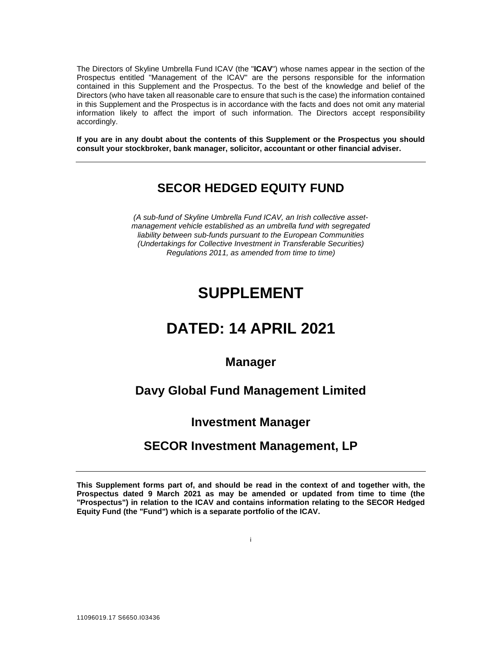The Directors of Skyline Umbrella Fund ICAV (the "**ICAV**") whose names appear in the section of the Prospectus entitled "Management of the ICAV" are the persons responsible for the information contained in this Supplement and the Prospectus. To the best of the knowledge and belief of the Directors (who have taken all reasonable care to ensure that such is the case) the information contained in this Supplement and the Prospectus is in accordance with the facts and does not omit any material information likely to affect the import of such information. The Directors accept responsibility accordingly.

**If you are in any doubt about the contents of this Supplement or the Prospectus you should consult your stockbroker, bank manager, solicitor, accountant or other financial adviser.** 

# **SECOR HEDGED EQUITY FUND**

*(A sub-fund of Skyline Umbrella Fund ICAV, an Irish collective assetmanagement vehicle established as an umbrella fund with segregated liability between sub-funds pursuant to the European Communities (Undertakings for Collective Investment in Transferable Securities) Regulations 2011, as amended from time to time)* 

# **SUPPLEMENT**

# **DATED: 14 APRIL 2021**

# **Manager**

# **Davy Global Fund Management Limited**

# **Investment Manager**

# **SECOR Investment Management, LP**

**This Supplement forms part of, and should be read in the context of and together with, the Prospectus dated 9 March 2021 as may be amended or updated from time to time (the "Prospectus") in relation to the ICAV and contains information relating to the SECOR Hedged Equity Fund (the "Fund") which is a separate portfolio of the ICAV.** 

i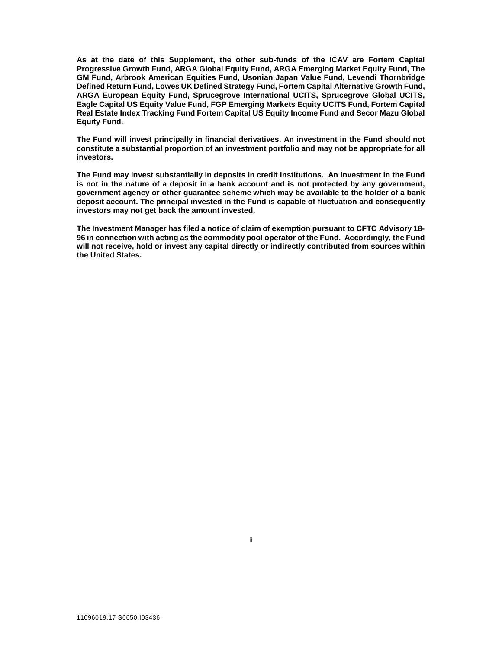**As at the date of this Supplement, the other sub-funds of the ICAV are Fortem Capital Progressive Growth Fund, ARGA Global Equity Fund, ARGA Emerging Market Equity Fund, The GM Fund, Arbrook American Equities Fund, Usonian Japan Value Fund, Levendi Thornbridge Defined Return Fund, Lowes UK Defined Strategy Fund, Fortem Capital Alternative Growth Fund, ARGA European Equity Fund, Sprucegrove International UCITS, Sprucegrove Global UCITS, Eagle Capital US Equity Value Fund, FGP Emerging Markets Equity UCITS Fund, Fortem Capital Real Estate Index Tracking Fund Fortem Capital US Equity Income Fund and Secor Mazu Global Equity Fund.** 

**The Fund will invest principally in financial derivatives. An investment in the Fund should not constitute a substantial proportion of an investment portfolio and may not be appropriate for all investors.** 

**The Fund may invest substantially in deposits in credit institutions. An investment in the Fund is not in the nature of a deposit in a bank account and is not protected by any government, government agency or other guarantee scheme which may be available to the holder of a bank deposit account. The principal invested in the Fund is capable of fluctuation and consequently investors may not get back the amount invested.**

**The Investment Manager has filed a notice of claim of exemption pursuant to CFTC Advisory 18- 96 in connection with acting as the commodity pool operator of the Fund. Accordingly, the Fund will not receive, hold or invest any capital directly or indirectly contributed from sources within the United States.** 

ii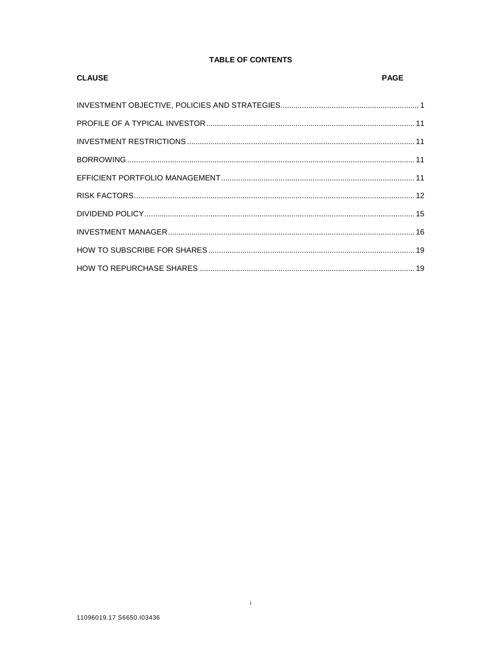# **TABLE OF CONTENTS**

| <b>CLAUSE</b> | <b>PAGE</b> |
|---------------|-------------|
|               |             |
|               |             |
|               |             |
|               |             |
|               |             |
|               |             |
|               |             |
|               |             |
|               |             |
|               |             |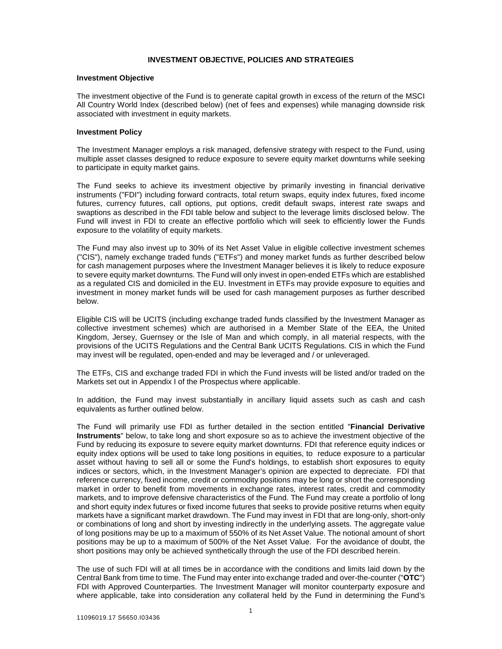#### **INVESTMENT OBJECTIVE, POLICIES AND STRATEGIES**

#### **Investment Objective**

The investment objective of the Fund is to generate capital growth in excess of the return of the MSCI All Country World Index (described below) (net of fees and expenses) while managing downside risk associated with investment in equity markets.

#### **Investment Policy**

The Investment Manager employs a risk managed, defensive strategy with respect to the Fund, using multiple asset classes designed to reduce exposure to severe equity market downturns while seeking to participate in equity market gains.

The Fund seeks to achieve its investment objective by primarily investing in financial derivative instruments ("FDI") including forward contracts, total return swaps, equity index futures, fixed income futures, currency futures, call options, put options, credit default swaps, interest rate swaps and swaptions as described in the FDI table below and subject to the leverage limits disclosed below. The Fund will invest in FDI to create an effective portfolio which will seek to efficiently lower the Funds exposure to the volatility of equity markets.

The Fund may also invest up to 30% of its Net Asset Value in eligible collective investment schemes ("CIS"), namely exchange traded funds ("ETFs") and money market funds as further described below for cash management purposes where the Investment Manager believes it is likely to reduce exposure to severe equity market downturns. The Fund will only invest in open-ended ETFs which are established as a regulated CIS and domiciled in the EU. Investment in ETFs may provide exposure to equities and investment in money market funds will be used for cash management purposes as further described below.

Eligible CIS will be UCITS (including exchange traded funds classified by the Investment Manager as collective investment schemes) which are authorised in a Member State of the EEA, the United Kingdom, Jersey, Guernsey or the Isle of Man and which comply, in all material respects, with the provisions of the UCITS Regulations and the Central Bank UCITS Regulations. CIS in which the Fund may invest will be regulated, open-ended and may be leveraged and / or unleveraged.

The ETFs, CIS and exchange traded FDI in which the Fund invests will be listed and/or traded on the Markets set out in Appendix I of the Prospectus where applicable.

In addition, the Fund may invest substantially in ancillary liquid assets such as cash and cash equivalents as further outlined below.

The Fund will primarily use FDI as further detailed in the section entitled "**Financial Derivative Instruments**" below, to take long and short exposure so as to achieve the investment objective of the Fund by reducing its exposure to severe equity market downturns. FDI that reference equity indices or equity index options will be used to take long positions in equities, to reduce exposure to a particular asset without having to sell all or some the Fund's holdings, to establish short exposures to equity indices or sectors, which, in the Investment Manager's opinion are expected to depreciate. FDI that reference currency, fixed income, credit or commodity positions may be long or short the corresponding market in order to benefit from movements in exchange rates, interest rates, credit and commodity markets, and to improve defensive characteristics of the Fund. The Fund may create a portfolio of long and short equity index futures or fixed income futures that seeks to provide positive returns when equity markets have a significant market drawdown. The Fund may invest in FDI that are long-only, short-only or combinations of long and short by investing indirectly in the underlying assets. The aggregate value of long positions may be up to a maximum of 550% of its Net Asset Value. The notional amount of short positions may be up to a maximum of 500% of the Net Asset Value. For the avoidance of doubt, the short positions may only be achieved synthetically through the use of the FDI described herein.

The use of such FDI will at all times be in accordance with the conditions and limits laid down by the Central Bank from time to time. The Fund may enter into exchange traded and over-the-counter ("**OTC**") FDI with Approved Counterparties. The Investment Manager will monitor counterparty exposure and where applicable, take into consideration any collateral held by the Fund in determining the Fund's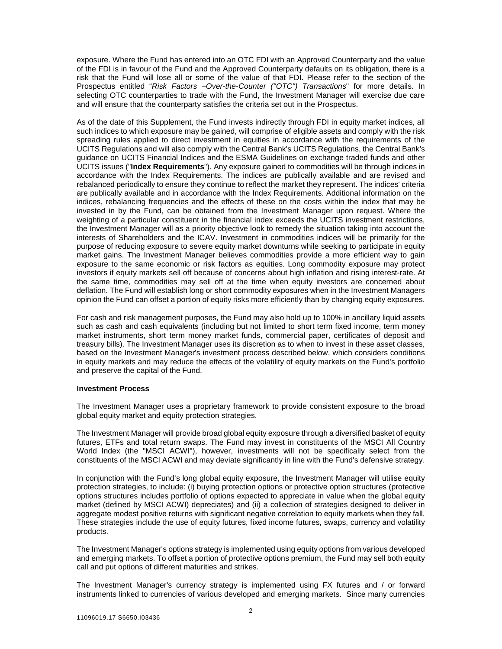exposure. Where the Fund has entered into an OTC FDI with an Approved Counterparty and the value of the FDI is in favour of the Fund and the Approved Counterparty defaults on its obligation, there is a risk that the Fund will lose all or some of the value of that FDI. Please refer to the section of the Prospectus entitled "*Risk Factors –Over-the-Counter ("OTC") Transactions*" for more details. In selecting OTC counterparties to trade with the Fund, the Investment Manager will exercise due care and will ensure that the counterparty satisfies the criteria set out in the Prospectus.

As of the date of this Supplement, the Fund invests indirectly through FDI in equity market indices, all such indices to which exposure may be gained, will comprise of eligible assets and comply with the risk spreading rules applied to direct investment in equities in accordance with the requirements of the UCITS Regulations and will also comply with the Central Bank's UCITS Regulations, the Central Bank's guidance on UCITS Financial Indices and the ESMA Guidelines on exchange traded funds and other UCITS issues ("**Index Requirements**"). Any exposure gained to commodities will be through indices in accordance with the Index Requirements. The indices are publically available and are revised and rebalanced periodically to ensure they continue to reflect the market they represent. The indices' criteria are publically available and in accordance with the Index Requirements. Additional information on the indices, rebalancing frequencies and the effects of these on the costs within the index that may be invested in by the Fund, can be obtained from the Investment Manager upon request. Where the weighting of a particular constituent in the financial index exceeds the UCITS investment restrictions, the Investment Manager will as a priority objective look to remedy the situation taking into account the interests of Shareholders and the ICAV. Investment in commodities indices will be primarily for the purpose of reducing exposure to severe equity market downturns while seeking to participate in equity market gains. The Investment Manager believes commodities provide a more efficient way to gain exposure to the same economic or risk factors as equities. Long commodity exposure may protect investors if equity markets sell off because of concerns about high inflation and rising interest-rate. At the same time, commodities may sell off at the time when equity investors are concerned about deflation. The Fund will establish long or short commodity exposures when in the Investment Managers opinion the Fund can offset a portion of equity risks more efficiently than by changing equity exposures.

For cash and risk management purposes, the Fund may also hold up to 100% in ancillary liquid assets such as cash and cash equivalents (including but not limited to short term fixed income, term money market instruments, short term money market funds, commercial paper, certificates of deposit and treasury bills). The Investment Manager uses its discretion as to when to invest in these asset classes, based on the Investment Manager's investment process described below, which considers conditions in equity markets and may reduce the effects of the volatility of equity markets on the Fund's portfolio and preserve the capital of the Fund.

#### **Investment Process**

The Investment Manager uses a proprietary framework to provide consistent exposure to the broad global equity market and equity protection strategies.

The Investment Manager will provide broad global equity exposure through a diversified basket of equity futures, ETFs and total return swaps. The Fund may invest in constituents of the MSCI All Country World Index (the "MSCI ACWI"), however, investments will not be specifically select from the constituents of the MSCI ACWI and may deviate significantly in line with the Fund's defensive strategy.

In conjunction with the Fund's long global equity exposure, the Investment Manager will utilise equity protection strategies, to include: (i) buying protection options or protective option structures (protective options structures includes portfolio of options expected to appreciate in value when the global equity market (defined by MSCI ACWI) depreciates) and (ii) a collection of strategies designed to deliver in aggregate modest positive returns with significant negative correlation to equity markets when they fall. These strategies include the use of equity futures, fixed income futures, swaps, currency and volatility products.

The Investment Manager's options strategy is implemented using equity options from various developed and emerging markets. To offset a portion of protective options premium, the Fund may sell both equity call and put options of different maturities and strikes.

The Investment Manager's currency strategy is implemented using FX futures and / or forward instruments linked to currencies of various developed and emerging markets. Since many currencies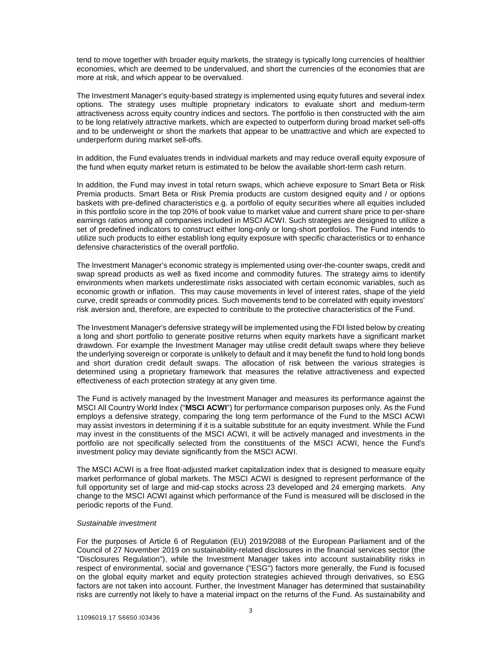tend to move together with broader equity markets, the strategy is typically long currencies of healthier economies, which are deemed to be undervalued, and short the currencies of the economies that are more at risk, and which appear to be overvalued.

The Investment Manager's equity-based strategy is implemented using equity futures and several index options. The strategy uses multiple proprietary indicators to evaluate short and medium-term attractiveness across equity country indices and sectors. The portfolio is then constructed with the aim to be long relatively attractive markets, which are expected to outperform during broad market sell-offs and to be underweight or short the markets that appear to be unattractive and which are expected to underperform during market sell-offs.

In addition, the Fund evaluates trends in individual markets and may reduce overall equity exposure of the fund when equity market return is estimated to be below the available short-term cash return.

In addition, the Fund may invest in total return swaps, which achieve exposure to Smart Beta or Risk Premia products. Smart Beta or Risk Premia products are custom designed equity and / or options baskets with pre-defined characteristics e.g. a portfolio of equity securities where all equities included in this portfolio score in the top 20% of book value to market value and current share price to per-share earnings ratios among all companies included in MSCI ACWI. Such strategies are designed to utilize a set of predefined indicators to construct either long-only or long-short portfolios. The Fund intends to utilize such products to either establish long equity exposure with specific characteristics or to enhance defensive characteristics of the overall portfolio.

The Investment Manager's economic strategy is implemented using over-the-counter swaps, credit and swap spread products as well as fixed income and commodity futures. The strategy aims to identify environments when markets underestimate risks associated with certain economic variables, such as economic growth or inflation. This may cause movements in level of interest rates, shape of the yield curve, credit spreads or commodity prices. Such movements tend to be correlated with equity investors' risk aversion and, therefore, are expected to contribute to the protective characteristics of the Fund.

The Investment Manager's defensive strategy will be implemented using the FDI listed below by creating a long and short portfolio to generate positive returns when equity markets have a significant market drawdown. For example the Investment Manager may utilise credit default swaps where they believe the underlying sovereign or corporate is unlikely to default and it may benefit the fund to hold long bonds and short duration credit default swaps. The allocation of risk between the various strategies is determined using a proprietary framework that measures the relative attractiveness and expected effectiveness of each protection strategy at any given time.

The Fund is actively managed by the Investment Manager and measures its performance against the MSCI All Country World Index ("**MSCI ACWI**") for performance comparison purposes only. As the Fund employs a defensive strategy, comparing the long term performance of the Fund to the MSCI ACWI may assist investors in determining if it is a suitable substitute for an equity investment. While the Fund may invest in the constituents of the MSCI ACWI, it will be actively managed and investments in the portfolio are not specifically selected from the constituents of the MSCI ACWI, hence the Fund's investment policy may deviate significantly from the MSCI ACWI.

The MSCI ACWI is a free float-adjusted market capitalization index that is designed to measure equity market performance of global markets. The MSCI ACWI is designed to represent performance of the full opportunity set of large and mid-cap stocks across 23 developed and 24 emerging markets. Any change to the MSCI ACWI against which performance of the Fund is measured will be disclosed in the periodic reports of the Fund.

#### *Sustainable investment*

For the purposes of Article 6 of Regulation (EU) 2019/2088 of the European Parliament and of the Council of 27 November 2019 on sustainability‐related disclosures in the financial services sector (the "Disclosures Regulation"), while the Investment Manager takes into account sustainability risks in respect of environmental, social and governance ("ESG") factors more generally, the Fund is focused on the global equity market and equity protection strategies achieved through derivatives, so ESG factors are not taken into account. Further, the Investment Manager has determined that sustainability risks are currently not likely to have a material impact on the returns of the Fund. As sustainability and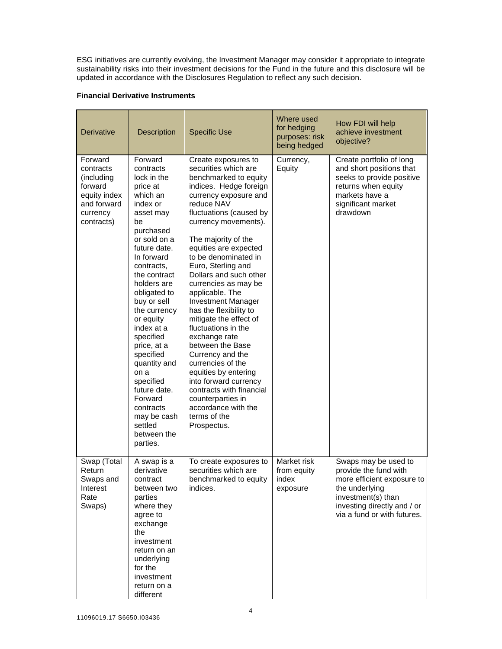ESG initiatives are currently evolving, the Investment Manager may consider it appropriate to integrate sustainability risks into their investment decisions for the Fund in the future and this disclosure will be updated in accordance with the Disclosures Regulation to reflect any such decision.

## **Financial Derivative Instruments**

| <b>Derivative</b>                                                                                      | Description<br><b>Specific Use</b>                                                                                                                                                                                                                                                                                                                                                                                                                      |                                                                                                                                                                                                                                                                                                                                                                                                                                                                                                                                                                                                                                                                                                           | Where used<br>for hedging<br>purposes: risk<br>being hedged | How FDI will help<br>achieve investment<br>objective?                                                                                                                             |
|--------------------------------------------------------------------------------------------------------|---------------------------------------------------------------------------------------------------------------------------------------------------------------------------------------------------------------------------------------------------------------------------------------------------------------------------------------------------------------------------------------------------------------------------------------------------------|-----------------------------------------------------------------------------------------------------------------------------------------------------------------------------------------------------------------------------------------------------------------------------------------------------------------------------------------------------------------------------------------------------------------------------------------------------------------------------------------------------------------------------------------------------------------------------------------------------------------------------------------------------------------------------------------------------------|-------------------------------------------------------------|-----------------------------------------------------------------------------------------------------------------------------------------------------------------------------------|
| Forward<br>contracts<br>(including<br>forward<br>equity index<br>and forward<br>currency<br>contracts) | Forward<br>contracts<br>lock in the<br>price at<br>which an<br>index or<br>asset may<br>be<br>purchased<br>or sold on a<br>future date.<br>In forward<br>contracts,<br>the contract<br>holders are<br>obligated to<br>buy or sell<br>the currency<br>or equity<br>index at a<br>specified<br>price, at a<br>specified<br>quantity and<br>on a<br>specified<br>future date.<br>Forward<br>contracts<br>may be cash<br>settled<br>between the<br>parties. | Create exposures to<br>securities which are<br>benchmarked to equity<br>indices. Hedge foreign<br>currency exposure and<br>reduce NAV<br>fluctuations (caused by<br>currency movements).<br>The majority of the<br>equities are expected<br>to be denominated in<br>Euro, Sterling and<br>Dollars and such other<br>currencies as may be<br>applicable. The<br><b>Investment Manager</b><br>has the flexibility to<br>mitigate the effect of<br>fluctuations in the<br>exchange rate<br>between the Base<br>Currency and the<br>currencies of the<br>equities by entering<br>into forward currency<br>contracts with financial<br>counterparties in<br>accordance with the<br>terms of the<br>Prospectus. | Currency,<br>Equity                                         | Create portfolio of long<br>and short positions that<br>seeks to provide positive<br>returns when equity<br>markets have a<br>significant market<br>drawdown                      |
| Swap (Total<br>Return<br>Swaps and<br>Interest<br>Rate<br>Swaps)                                       | A swap is a<br>derivative<br>contract<br>between two<br>parties<br>where they<br>agree to<br>exchange<br>the<br>investment<br>return on an<br>underlying<br>for the<br>investment<br>return on a<br>different                                                                                                                                                                                                                                           | To create exposures to<br>securities which are<br>benchmarked to equity<br>indices.                                                                                                                                                                                                                                                                                                                                                                                                                                                                                                                                                                                                                       | Market risk<br>from equity<br>index<br>exposure             | Swaps may be used to<br>provide the fund with<br>more efficient exposure to<br>the underlying<br>investment(s) than<br>investing directly and / or<br>via a fund or with futures. |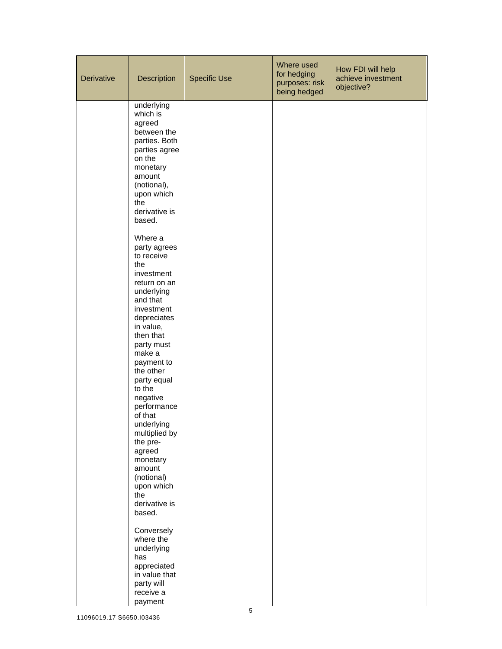| <b>Derivative</b> | Description                                                                                                                                                                                 | <b>Specific Use</b> | Where used<br>for hedging<br>purposes: risk<br>being hedged | How FDI will help<br>achieve investment<br>objective? |
|-------------------|---------------------------------------------------------------------------------------------------------------------------------------------------------------------------------------------|---------------------|-------------------------------------------------------------|-------------------------------------------------------|
|                   | underlying<br>which is<br>agreed<br>between the<br>parties. Both<br>parties agree<br>on the<br>monetary<br>amount<br>(notional),<br>upon which<br>the<br>derivative is<br>based.<br>Where a |                     |                                                             |                                                       |
|                   | party agrees<br>to receive<br>the<br>investment<br>return on an<br>underlying<br>and that<br>investment<br>depreciates<br>in value,<br>then that                                            |                     |                                                             |                                                       |
|                   | party must<br>make a<br>payment to<br>the other<br>party equal<br>to the<br>negative<br>performance<br>of that<br>underlying<br>multiplied by                                               |                     |                                                             |                                                       |
|                   | the pre-<br>agreed<br>monetary<br>amount<br>(notional)<br>upon which<br>the<br>derivative is<br>based.                                                                                      |                     |                                                             |                                                       |
|                   | Conversely<br>where the<br>underlying<br>has<br>appreciated<br>in value that<br>party will<br>receive a<br>payment                                                                          |                     |                                                             |                                                       |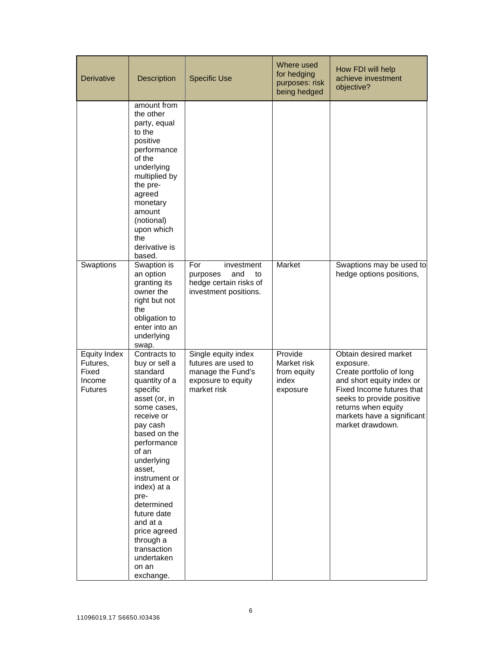| <b>Derivative</b>                                                    | Description                                                                                                                                                                                                                                                                                                                                                       | <b>Specific Use</b>                                                                                  | Where used<br>for hedging<br>purposes: risk<br>being hedged | How FDI will help<br>achieve investment<br>objective?                                                                                                                                                                          |
|----------------------------------------------------------------------|-------------------------------------------------------------------------------------------------------------------------------------------------------------------------------------------------------------------------------------------------------------------------------------------------------------------------------------------------------------------|------------------------------------------------------------------------------------------------------|-------------------------------------------------------------|--------------------------------------------------------------------------------------------------------------------------------------------------------------------------------------------------------------------------------|
|                                                                      | amount from<br>the other<br>party, equal<br>to the<br>positive<br>performance<br>of the<br>underlying<br>multiplied by<br>the pre-<br>agreed<br>monetary<br>amount<br>(notional)<br>upon which<br>the<br>derivative is<br>based.                                                                                                                                  |                                                                                                      |                                                             |                                                                                                                                                                                                                                |
| Swaptions                                                            | Swaption is<br>an option<br>granting its<br>owner the<br>right but not<br>the<br>obligation to<br>enter into an<br>underlying<br>swap.                                                                                                                                                                                                                            | For<br>investment<br>purposes<br>and<br>to<br>hedge certain risks of<br>investment positions.        | Market                                                      | Swaptions may be used to<br>hedge options positions,                                                                                                                                                                           |
| <b>Equity Index</b><br>Futures,<br>Fixed<br>Income<br><b>Futures</b> | Contracts to<br>buy or sell a<br>standard<br>quantity of a<br>specific<br>asset (or, in<br>some cases,<br>receive or<br>pay cash<br>based on the<br>performance<br>of an<br>underlying<br>asset,<br>instrument or<br>index) at a<br>pre-<br>determined<br>future date<br>and at a<br>price agreed<br>through a<br>transaction<br>undertaken<br>on an<br>exchange. | Single equity index<br>futures are used to<br>manage the Fund's<br>exposure to equity<br>market risk | Provide<br>Market risk<br>from equity<br>index<br>exposure  | Obtain desired market<br>exposure.<br>Create portfolio of long<br>and short equity index or<br>Fixed Income futures that<br>seeks to provide positive<br>returns when equity<br>markets have a significant<br>market drawdown. |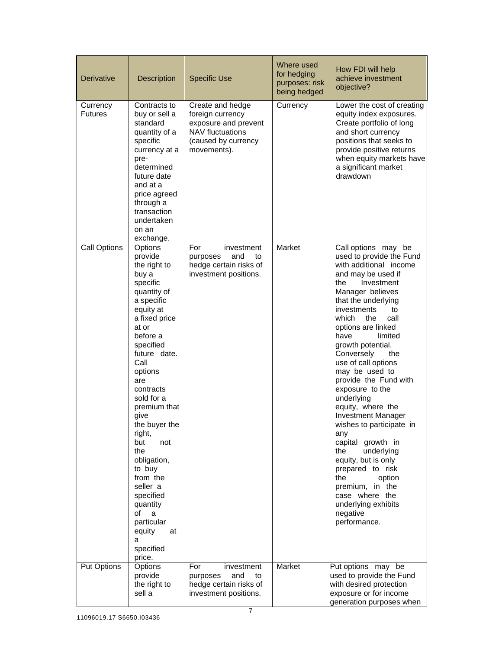| <b>Derivative</b>          | Description                                                                                                                                                                                                                                                                                                                                                                                                                                      | <b>Specific Use</b>                                                                                                           | Where used<br>for hedging<br>purposes: risk<br>being hedged | How FDI will help<br>achieve investment<br>objective?                                                                                                                                                                                                                                                                                                                                                                                                                                                                                                                                                                                                                                 |
|----------------------------|--------------------------------------------------------------------------------------------------------------------------------------------------------------------------------------------------------------------------------------------------------------------------------------------------------------------------------------------------------------------------------------------------------------------------------------------------|-------------------------------------------------------------------------------------------------------------------------------|-------------------------------------------------------------|---------------------------------------------------------------------------------------------------------------------------------------------------------------------------------------------------------------------------------------------------------------------------------------------------------------------------------------------------------------------------------------------------------------------------------------------------------------------------------------------------------------------------------------------------------------------------------------------------------------------------------------------------------------------------------------|
| Currency<br><b>Futures</b> | Contracts to<br>buy or sell a<br>standard<br>quantity of a<br>specific<br>currency at a<br>pre-<br>determined<br>future date<br>and at a<br>price agreed<br>through a<br>transaction<br>undertaken<br>on an<br>exchange.                                                                                                                                                                                                                         | Create and hedge<br>foreign currency<br>exposure and prevent<br><b>NAV fluctuations</b><br>(caused by currency<br>movements). | Currency                                                    | Lower the cost of creating<br>equity index exposures.<br>Create portfolio of long<br>and short currency<br>positions that seeks to<br>provide positive returns<br>when equity markets have<br>a significant market<br>drawdown                                                                                                                                                                                                                                                                                                                                                                                                                                                        |
| Call Options               | Options<br>provide<br>the right to<br>buy a<br>specific<br>quantity of<br>a specific<br>equity at<br>a fixed price<br>at or<br>before a<br>specified<br>future date.<br>Call<br>options<br>are<br>contracts<br>sold for a<br>premium that<br>give<br>the buyer the<br>right,<br>but<br>not<br>the<br>obligation,<br>to buy<br>from the<br>seller a<br>specified<br>quantity<br>of<br>a<br>particular<br>equity<br>at<br>a<br>specified<br>price. | For<br>investment<br>and<br>purposes<br>to<br>hedge certain risks of<br>investment positions.                                 | Market                                                      | Call options may be<br>used to provide the Fund<br>with additional income<br>and may be used if<br>the<br>Investment<br>Manager believes<br>that the underlying<br>investments<br>to<br>which<br>the<br>call<br>options are linked<br>have<br>limited<br>growth potential.<br>Conversely<br>the<br>use of call options<br>may be used to<br>provide the Fund with<br>exposure to the<br>underlying<br>equity, where the<br><b>Investment Manager</b><br>wishes to participate in<br>any<br>capital growth in<br>underlying<br>the<br>equity, but is only<br>prepared to risk<br>the<br>option<br>premium, in the<br>case where the<br>underlying exhibits<br>negative<br>performance. |
| Put Options                | Options<br>provide<br>the right to<br>sell a                                                                                                                                                                                                                                                                                                                                                                                                     | For<br>investment<br>and<br>purposes<br>to<br>hedge certain risks of<br>investment positions.                                 | Market                                                      | Put options may be<br>used to provide the Fund<br>with desired protection<br>exposure or for income<br>generation purposes when                                                                                                                                                                                                                                                                                                                                                                                                                                                                                                                                                       |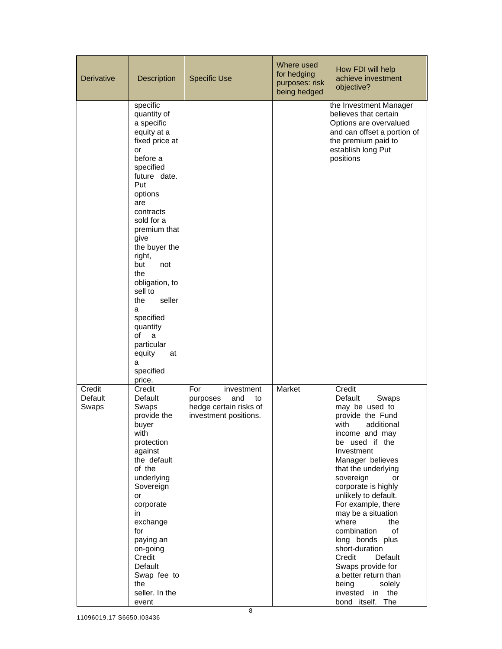| <b>Derivative</b>          | <b>Description</b>                                                                                                                                                                                                                                                                                                                                                                                 | <b>Specific Use</b>                                                                           | Where used<br>for hedging<br>purposes: risk<br>being hedged | How FDI will help<br>achieve investment<br>objective?                                                                                                                                                                                                                                                                                                                                                                                                                                                         |
|----------------------------|----------------------------------------------------------------------------------------------------------------------------------------------------------------------------------------------------------------------------------------------------------------------------------------------------------------------------------------------------------------------------------------------------|-----------------------------------------------------------------------------------------------|-------------------------------------------------------------|---------------------------------------------------------------------------------------------------------------------------------------------------------------------------------------------------------------------------------------------------------------------------------------------------------------------------------------------------------------------------------------------------------------------------------------------------------------------------------------------------------------|
|                            | specific<br>quantity of<br>a specific<br>equity at a<br>fixed price at<br>or<br>before a<br>specified<br>future date.<br>Put<br>options<br>are<br>contracts<br>sold for a<br>premium that<br>give<br>the buyer the<br>right,<br>but<br>not<br>the<br>obligation, to<br>sell to<br>seller<br>the<br>a<br>specified<br>quantity<br>of<br>a<br>particular<br>equity<br>at<br>a<br>specified<br>price. |                                                                                               |                                                             | the Investment Manager<br>believes that certain<br>Options are overvalued<br>and can offset a portion of<br>the premium paid to<br>establish long Put<br>positions                                                                                                                                                                                                                                                                                                                                            |
| Credit<br>Default<br>Swaps | Credit<br>Default<br>Swaps<br>provide the<br>buyer<br>with<br>protection<br>against<br>the default<br>of the<br>underlying<br>Sovereign<br>or<br>corporate<br>in.<br>exchange<br>for<br>paying an<br>on-going<br>Credit<br>Default<br>Swap fee to<br>the<br>seller. In the<br>event                                                                                                                | For<br>investment<br>purposes<br>and<br>to<br>hedge certain risks of<br>investment positions. | Market                                                      | Credit<br>Default<br>Swaps<br>may be used to<br>provide the Fund<br>with<br>additional<br>income and may<br>be used if the<br>Investment<br>Manager believes<br>that the underlying<br>sovereign<br>or<br>corporate is highly<br>unlikely to default.<br>For example, there<br>may be a situation<br>where<br>the<br>combination<br>of<br>long bonds plus<br>short-duration<br>Credit<br>Default<br>Swaps provide for<br>a better return than<br>being<br>solely<br>invested<br>in<br>the<br>bond itself. The |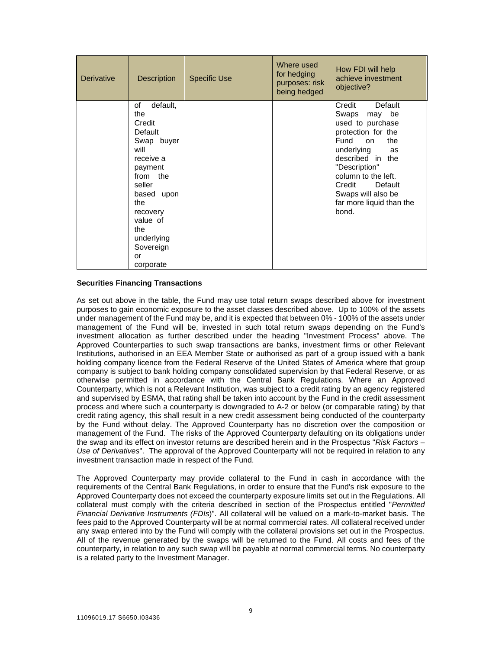| <b>Derivative</b> | <b>Description</b>                                                                                                                                                                                                | <b>Specific Use</b> | Where used<br>for hedging<br>purposes: risk<br>being hedged | How FDI will help<br>achieve investment<br>objective?                                                                                                                                                                                                               |
|-------------------|-------------------------------------------------------------------------------------------------------------------------------------------------------------------------------------------------------------------|---------------------|-------------------------------------------------------------|---------------------------------------------------------------------------------------------------------------------------------------------------------------------------------------------------------------------------------------------------------------------|
|                   | default,<br>of<br>the<br>Credit<br>Default<br>Swap buyer<br>will<br>receive a<br>payment<br>from the<br>seller<br>based upon<br>the.<br>recovery<br>value of<br>the<br>underlying<br>Sovereign<br>or<br>corporate |                     |                                                             | Default<br>Credit<br>Swaps<br>may be<br>used to purchase<br>protection for the<br>Fund<br>the<br>on<br>underlying<br>as<br>described in the<br>"Description"<br>column to the left.<br>Credit<br>Default<br>Swaps will also be<br>far more liquid than the<br>bond. |

### **Securities Financing Transactions**

As set out above in the table, the Fund may use total return swaps described above for investment purposes to gain economic exposure to the asset classes described above. Up to 100% of the assets under management of the Fund may be, and it is expected that between 0% - 100% of the assets under management of the Fund will be, invested in such total return swaps depending on the Fund's investment allocation as further described under the heading "Investment Process" above. The Approved Counterparties to such swap transactions are banks, investment firms or other Relevant Institutions, authorised in an EEA Member State or authorised as part of a group issued with a bank holding company licence from the Federal Reserve of the United States of America where that group company is subject to bank holding company consolidated supervision by that Federal Reserve, or as otherwise permitted in accordance with the Central Bank Regulations. Where an Approved Counterparty, which is not a Relevant Institution, was subject to a credit rating by an agency registered and supervised by ESMA, that rating shall be taken into account by the Fund in the credit assessment process and where such a counterparty is downgraded to A-2 or below (or comparable rating) by that credit rating agency, this shall result in a new credit assessment being conducted of the counterparty by the Fund without delay. The Approved Counterparty has no discretion over the composition or management of the Fund. The risks of the Approved Counterparty defaulting on its obligations under the swap and its effect on investor returns are described herein and in the Prospectus "*Risk Factors – Use of Derivatives*". The approval of the Approved Counterparty will not be required in relation to any investment transaction made in respect of the Fund.

The Approved Counterparty may provide collateral to the Fund in cash in accordance with the requirements of the Central Bank Regulations, in order to ensure that the Fund's risk exposure to the Approved Counterparty does not exceed the counterparty exposure limits set out in the Regulations. All collateral must comply with the criteria described in section of the Prospectus entitled "*Permitted Financial Derivative Instruments (FDIs*)". All collateral will be valued on a mark-to-market basis. The fees paid to the Approved Counterparty will be at normal commercial rates. All collateral received under any swap entered into by the Fund will comply with the collateral provisions set out in the Prospectus. All of the revenue generated by the swaps will be returned to the Fund. All costs and fees of the counterparty, in relation to any such swap will be payable at normal commercial terms. No counterparty is a related party to the Investment Manager.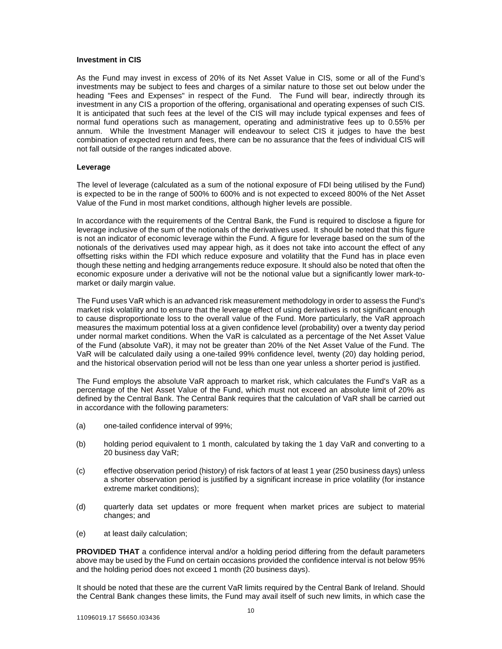#### **Investment in CIS**

As the Fund may invest in excess of 20% of its Net Asset Value in CIS, some or all of the Fund's investments may be subject to fees and charges of a similar nature to those set out below under the heading "Fees and Expenses" in respect of the Fund. The Fund will bear, indirectly through its investment in any CIS a proportion of the offering, organisational and operating expenses of such CIS. It is anticipated that such fees at the level of the CIS will may include typical expenses and fees of normal fund operations such as management, operating and administrative fees up to 0.55% per annum. While the Investment Manager will endeavour to select CIS it judges to have the best combination of expected return and fees, there can be no assurance that the fees of individual CIS will not fall outside of the ranges indicated above.

#### **Leverage**

The level of leverage (calculated as a sum of the notional exposure of FDI being utilised by the Fund) is expected to be in the range of 500% to 600% and is not expected to exceed 800% of the Net Asset Value of the Fund in most market conditions, although higher levels are possible.

In accordance with the requirements of the Central Bank, the Fund is required to disclose a figure for leverage inclusive of the sum of the notionals of the derivatives used. It should be noted that this figure is not an indicator of economic leverage within the Fund. A figure for leverage based on the sum of the notionals of the derivatives used may appear high, as it does not take into account the effect of any offsetting risks within the FDI which reduce exposure and volatility that the Fund has in place even though these netting and hedging arrangements reduce exposure. It should also be noted that often the economic exposure under a derivative will not be the notional value but a significantly lower mark-tomarket or daily margin value.

The Fund uses VaR which is an advanced risk measurement methodology in order to assess the Fund's market risk volatility and to ensure that the leverage effect of using derivatives is not significant enough to cause disproportionate loss to the overall value of the Fund. More particularly, the VaR approach measures the maximum potential loss at a given confidence level (probability) over a twenty day period under normal market conditions. When the VaR is calculated as a percentage of the Net Asset Value of the Fund (absolute VaR), it may not be greater than 20% of the Net Asset Value of the Fund. The VaR will be calculated daily using a one-tailed 99% confidence level, twenty (20) day holding period, and the historical observation period will not be less than one year unless a shorter period is justified.

The Fund employs the absolute VaR approach to market risk, which calculates the Fund's VaR as a percentage of the Net Asset Value of the Fund, which must not exceed an absolute limit of 20% as defined by the Central Bank. The Central Bank requires that the calculation of VaR shall be carried out in accordance with the following parameters:

- (a) one-tailed confidence interval of 99%;
- (b) holding period equivalent to 1 month, calculated by taking the 1 day VaR and converting to a 20 business day VaR;
- (c) effective observation period (history) of risk factors of at least 1 year (250 business days) unless a shorter observation period is justified by a significant increase in price volatility (for instance extreme market conditions);
- (d) quarterly data set updates or more frequent when market prices are subject to material changes; and
- (e) at least daily calculation;

**PROVIDED THAT** a confidence interval and/or a holding period differing from the default parameters above may be used by the Fund on certain occasions provided the confidence interval is not below 95% and the holding period does not exceed 1 month (20 business days).

It should be noted that these are the current VaR limits required by the Central Bank of Ireland. Should the Central Bank changes these limits, the Fund may avail itself of such new limits, in which case the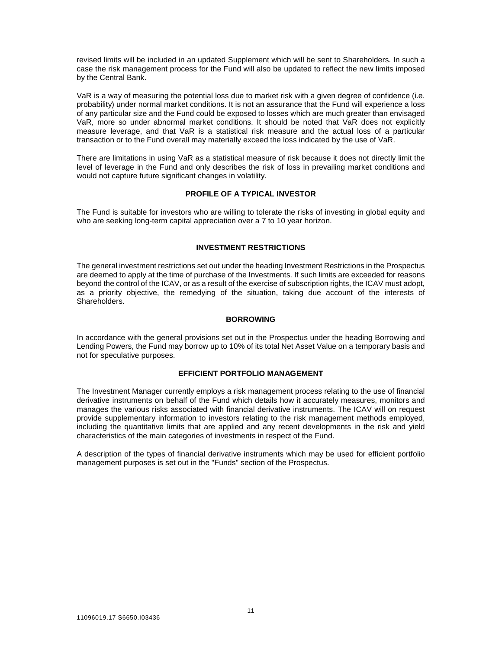revised limits will be included in an updated Supplement which will be sent to Shareholders. In such a case the risk management process for the Fund will also be updated to reflect the new limits imposed by the Central Bank.

VaR is a way of measuring the potential loss due to market risk with a given degree of confidence (i.e. probability) under normal market conditions. It is not an assurance that the Fund will experience a loss of any particular size and the Fund could be exposed to losses which are much greater than envisaged VaR, more so under abnormal market conditions. It should be noted that VaR does not explicitly measure leverage, and that VaR is a statistical risk measure and the actual loss of a particular transaction or to the Fund overall may materially exceed the loss indicated by the use of VaR.

There are limitations in using VaR as a statistical measure of risk because it does not directly limit the level of leverage in the Fund and only describes the risk of loss in prevailing market conditions and would not capture future significant changes in volatility.

#### **PROFILE OF A TYPICAL INVESTOR**

The Fund is suitable for investors who are willing to tolerate the risks of investing in global equity and who are seeking long-term capital appreciation over a 7 to 10 year horizon.

### **INVESTMENT RESTRICTIONS**

The general investment restrictions set out under the heading Investment Restrictions in the Prospectus are deemed to apply at the time of purchase of the Investments. If such limits are exceeded for reasons beyond the control of the ICAV, or as a result of the exercise of subscription rights, the ICAV must adopt, as a priority objective, the remedying of the situation, taking due account of the interests of Shareholders.

### **BORROWING**

In accordance with the general provisions set out in the Prospectus under the heading Borrowing and Lending Powers, the Fund may borrow up to 10% of its total Net Asset Value on a temporary basis and not for speculative purposes.

#### **EFFICIENT PORTFOLIO MANAGEMENT**

The Investment Manager currently employs a risk management process relating to the use of financial derivative instruments on behalf of the Fund which details how it accurately measures, monitors and manages the various risks associated with financial derivative instruments. The ICAV will on request provide supplementary information to investors relating to the risk management methods employed, including the quantitative limits that are applied and any recent developments in the risk and yield characteristics of the main categories of investments in respect of the Fund.

A description of the types of financial derivative instruments which may be used for efficient portfolio management purposes is set out in the "Funds" section of the Prospectus.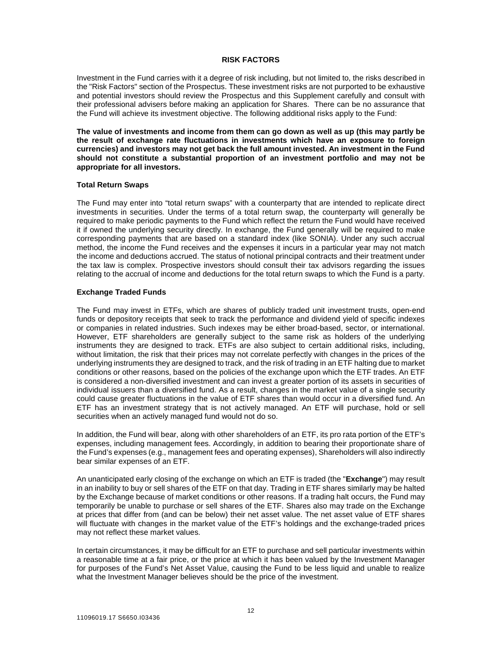#### **RISK FACTORS**

Investment in the Fund carries with it a degree of risk including, but not limited to, the risks described in the "Risk Factors" section of the Prospectus. These investment risks are not purported to be exhaustive and potential investors should review the Prospectus and this Supplement carefully and consult with their professional advisers before making an application for Shares. There can be no assurance that the Fund will achieve its investment objective. The following additional risks apply to the Fund:

**The value of investments and income from them can go down as well as up (this may partly be the result of exchange rate fluctuations in investments which have an exposure to foreign currencies) and investors may not get back the full amount invested. An investment in the Fund should not constitute a substantial proportion of an investment portfolio and may not be appropriate for all investors.** 

#### **Total Return Swaps**

The Fund may enter into "total return swaps" with a counterparty that are intended to replicate direct investments in securities. Under the terms of a total return swap, the counterparty will generally be required to make periodic payments to the Fund which reflect the return the Fund would have received it if owned the underlying security directly. In exchange, the Fund generally will be required to make corresponding payments that are based on a standard index (like SONIA). Under any such accrual method, the income the Fund receives and the expenses it incurs in a particular year may not match the income and deductions accrued. The status of notional principal contracts and their treatment under the tax law is complex. Prospective investors should consult their tax advisors regarding the issues relating to the accrual of income and deductions for the total return swaps to which the Fund is a party.

#### **Exchange Traded Funds**

The Fund may invest in ETFs, which are shares of publicly traded unit investment trusts, open-end funds or depository receipts that seek to track the performance and dividend yield of specific indexes or companies in related industries. Such indexes may be either broad-based, sector, or international. However, ETF shareholders are generally subject to the same risk as holders of the underlying instruments they are designed to track. ETFs are also subject to certain additional risks, including, without limitation, the risk that their prices may not correlate perfectly with changes in the prices of the underlying instruments they are designed to track, and the risk of trading in an ETF halting due to market conditions or other reasons, based on the policies of the exchange upon which the ETF trades. An ETF is considered a non-diversified investment and can invest a greater portion of its assets in securities of individual issuers than a diversified fund. As a result, changes in the market value of a single security could cause greater fluctuations in the value of ETF shares than would occur in a diversified fund. An ETF has an investment strategy that is not actively managed. An ETF will purchase, hold or sell securities when an actively managed fund would not do so.

In addition, the Fund will bear, along with other shareholders of an ETF, its pro rata portion of the ETF's expenses, including management fees. Accordingly, in addition to bearing their proportionate share of the Fund's expenses (e.g., management fees and operating expenses), Shareholders will also indirectly bear similar expenses of an ETF.

An unanticipated early closing of the exchange on which an ETF is traded (the "**Exchange**") may result in an inability to buy or sell shares of the ETF on that day. Trading in ETF shares similarly may be halted by the Exchange because of market conditions or other reasons. If a trading halt occurs, the Fund may temporarily be unable to purchase or sell shares of the ETF. Shares also may trade on the Exchange at prices that differ from (and can be below) their net asset value. The net asset value of ETF shares will fluctuate with changes in the market value of the ETF's holdings and the exchange-traded prices may not reflect these market values.

In certain circumstances, it may be difficult for an ETF to purchase and sell particular investments within a reasonable time at a fair price, or the price at which it has been valued by the Investment Manager for purposes of the Fund's Net Asset Value, causing the Fund to be less liquid and unable to realize what the Investment Manager believes should be the price of the investment.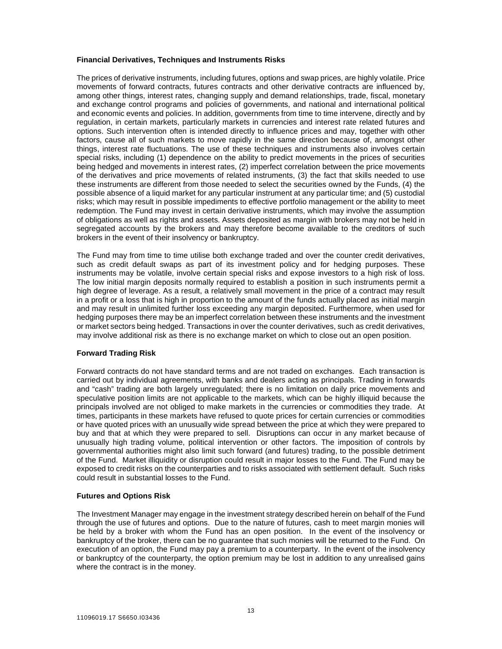#### **Financial Derivatives, Techniques and Instruments Risks**

The prices of derivative instruments, including futures, options and swap prices, are highly volatile. Price movements of forward contracts, futures contracts and other derivative contracts are influenced by, among other things, interest rates, changing supply and demand relationships, trade, fiscal, monetary and exchange control programs and policies of governments, and national and international political and economic events and policies. In addition, governments from time to time intervene, directly and by regulation, in certain markets, particularly markets in currencies and interest rate related futures and options. Such intervention often is intended directly to influence prices and may, together with other factors, cause all of such markets to move rapidly in the same direction because of, amongst other things, interest rate fluctuations. The use of these techniques and instruments also involves certain special risks, including (1) dependence on the ability to predict movements in the prices of securities being hedged and movements in interest rates, (2) imperfect correlation between the price movements of the derivatives and price movements of related instruments, (3) the fact that skills needed to use these instruments are different from those needed to select the securities owned by the Funds, (4) the possible absence of a liquid market for any particular instrument at any particular time; and (5) custodial risks; which may result in possible impediments to effective portfolio management or the ability to meet redemption. The Fund may invest in certain derivative instruments, which may involve the assumption of obligations as well as rights and assets. Assets deposited as margin with brokers may not be held in segregated accounts by the brokers and may therefore become available to the creditors of such brokers in the event of their insolvency or bankruptcy.

The Fund may from time to time utilise both exchange traded and over the counter credit derivatives, such as credit default swaps as part of its investment policy and for hedging purposes. These instruments may be volatile, involve certain special risks and expose investors to a high risk of loss. The low initial margin deposits normally required to establish a position in such instruments permit a high degree of leverage. As a result, a relatively small movement in the price of a contract may result in a profit or a loss that is high in proportion to the amount of the funds actually placed as initial margin and may result in unlimited further loss exceeding any margin deposited. Furthermore, when used for hedging purposes there may be an imperfect correlation between these instruments and the investment or market sectors being hedged. Transactions in over the counter derivatives, such as credit derivatives, may involve additional risk as there is no exchange market on which to close out an open position.

#### **Forward Trading Risk**

Forward contracts do not have standard terms and are not traded on exchanges. Each transaction is carried out by individual agreements, with banks and dealers acting as principals. Trading in forwards and "cash" trading are both largely unregulated; there is no limitation on daily price movements and speculative position limits are not applicable to the markets, which can be highly illiquid because the principals involved are not obliged to make markets in the currencies or commodities they trade. At times, participants in these markets have refused to quote prices for certain currencies or commodities or have quoted prices with an unusually wide spread between the price at which they were prepared to buy and that at which they were prepared to sell. Disruptions can occur in any market because of unusually high trading volume, political intervention or other factors. The imposition of controls by governmental authorities might also limit such forward (and futures) trading, to the possible detriment of the Fund. Market illiquidity or disruption could result in major losses to the Fund. The Fund may be exposed to credit risks on the counterparties and to risks associated with settlement default. Such risks could result in substantial losses to the Fund.

#### **Futures and Options Risk**

The Investment Manager may engage in the investment strategy described herein on behalf of the Fund through the use of futures and options. Due to the nature of futures, cash to meet margin monies will be held by a broker with whom the Fund has an open position. In the event of the insolvency or bankruptcy of the broker, there can be no guarantee that such monies will be returned to the Fund. On execution of an option, the Fund may pay a premium to a counterparty. In the event of the insolvency or bankruptcy of the counterparty, the option premium may be lost in addition to any unrealised gains where the contract is in the money.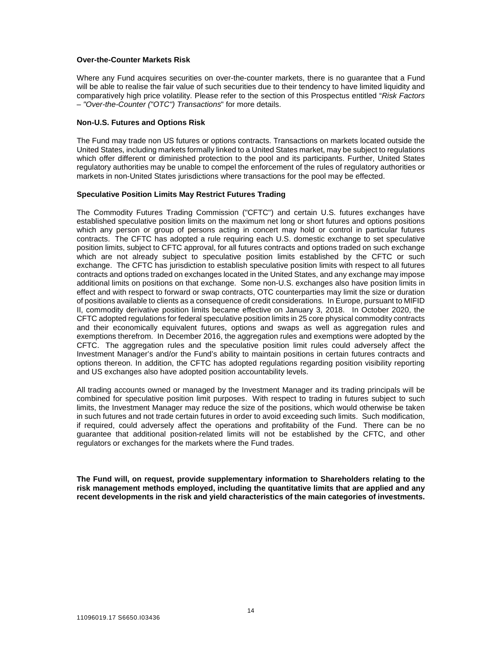#### **Over-the-Counter Markets Risk**

Where any Fund acquires securities on over-the-counter markets, there is no quarantee that a Fund will be able to realise the fair value of such securities due to their tendency to have limited liquidity and comparatively high price volatility. Please refer to the section of this Prospectus entitled "*Risk Factors – "Over-the-Counter ("OTC") Transactions*" for more details.

#### **Non-U.S. Futures and Options Risk**

The Fund may trade non US futures or options contracts. Transactions on markets located outside the United States, including markets formally linked to a United States market, may be subject to regulations which offer different or diminished protection to the pool and its participants. Further, United States regulatory authorities may be unable to compel the enforcement of the rules of regulatory authorities or markets in non-United States jurisdictions where transactions for the pool may be effected.

#### **Speculative Position Limits May Restrict Futures Trading**

The Commodity Futures Trading Commission ("CFTC") and certain U.S. futures exchanges have established speculative position limits on the maximum net long or short futures and options positions which any person or group of persons acting in concert may hold or control in particular futures contracts. The CFTC has adopted a rule requiring each U.S. domestic exchange to set speculative position limits, subject to CFTC approval, for all futures contracts and options traded on such exchange which are not already subject to speculative position limits established by the CFTC or such exchange. The CFTC has jurisdiction to establish speculative position limits with respect to all futures contracts and options traded on exchanges located in the United States, and any exchange may impose additional limits on positions on that exchange. Some non-U.S. exchanges also have position limits in effect and with respect to forward or swap contracts, OTC counterparties may limit the size or duration of positions available to clients as a consequence of credit considerations. In Europe, pursuant to MIFID II, commodity derivative position limits became effective on January 3, 2018. In October 2020, the CFTC adopted regulations for federal speculative position limits in 25 core physical commodity contracts and their economically equivalent futures, options and swaps as well as aggregation rules and exemptions therefrom. In December 2016, the aggregation rules and exemptions were adopted by the CFTC. The aggregation rules and the speculative position limit rules could adversely affect the Investment Manager's and/or the Fund's ability to maintain positions in certain futures contracts and options thereon. In addition, the CFTC has adopted regulations regarding position visibility reporting and US exchanges also have adopted position accountability levels.

All trading accounts owned or managed by the Investment Manager and its trading principals will be combined for speculative position limit purposes. With respect to trading in futures subject to such limits, the Investment Manager may reduce the size of the positions, which would otherwise be taken in such futures and not trade certain futures in order to avoid exceeding such limits. Such modification, if required, could adversely affect the operations and profitability of the Fund. There can be no guarantee that additional position-related limits will not be established by the CFTC, and other regulators or exchanges for the markets where the Fund trades.

**The Fund will, on request, provide supplementary information to Shareholders relating to the risk management methods employed, including the quantitative limits that are applied and any recent developments in the risk and yield characteristics of the main categories of investments.**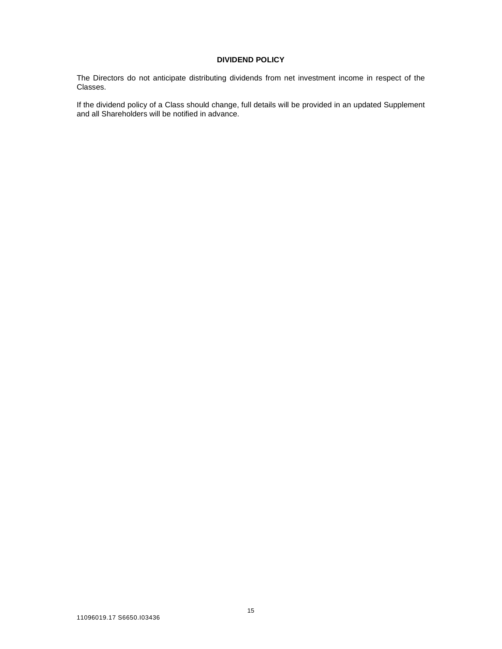## **DIVIDEND POLICY**

The Directors do not anticipate distributing dividends from net investment income in respect of the Classes.

If the dividend policy of a Class should change, full details will be provided in an updated Supplement and all Shareholders will be notified in advance.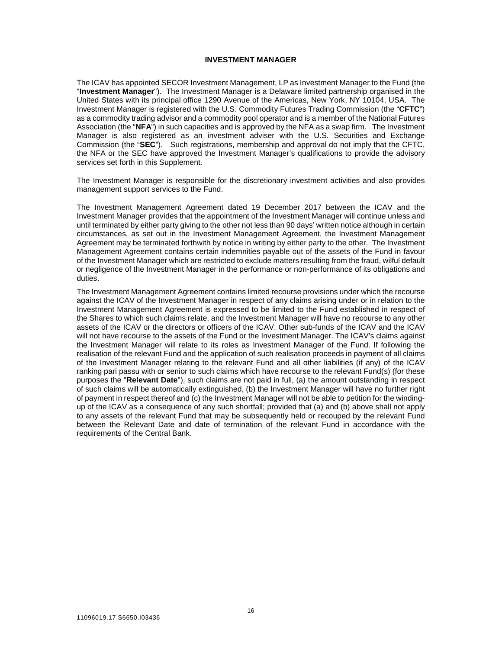#### **INVESTMENT MANAGER**

The ICAV has appointed SECOR Investment Management, LP as Investment Manager to the Fund (the "**Investment Manager**"). The Investment Manager is a Delaware limited partnership organised in the United States with its principal office 1290 Avenue of the Americas, New York, NY 10104, USA. The Investment Manager is registered with the U.S. Commodity Futures Trading Commission (the "**CFTC**") as a commodity trading advisor and a commodity pool operator and is a member of the National Futures Association (the "**NFA**") in such capacities and is approved by the NFA as a swap firm. The Investment Manager is also registered as an investment adviser with the U.S. Securities and Exchange Commission (the "**SEC**"). Such registrations, membership and approval do not imply that the CFTC, the NFA or the SEC have approved the Investment Manager's qualifications to provide the advisory services set forth in this Supplement.

The Investment Manager is responsible for the discretionary investment activities and also provides management support services to the Fund.

The Investment Management Agreement dated 19 December 2017 between the ICAV and the Investment Manager provides that the appointment of the Investment Manager will continue unless and until terminated by either party giving to the other not less than 90 days' written notice although in certain circumstances, as set out in the Investment Management Agreement, the Investment Management Agreement may be terminated forthwith by notice in writing by either party to the other. The Investment Management Agreement contains certain indemnities payable out of the assets of the Fund in favour of the Investment Manager which are restricted to exclude matters resulting from the fraud, wilful default or negligence of the Investment Manager in the performance or non-performance of its obligations and duties.

The Investment Management Agreement contains limited recourse provisions under which the recourse against the ICAV of the Investment Manager in respect of any claims arising under or in relation to the Investment Management Agreement is expressed to be limited to the Fund established in respect of the Shares to which such claims relate, and the Investment Manager will have no recourse to any other assets of the ICAV or the directors or officers of the ICAV. Other sub-funds of the ICAV and the ICAV will not have recourse to the assets of the Fund or the Investment Manager. The ICAV's claims against the Investment Manager will relate to its roles as Investment Manager of the Fund. If following the realisation of the relevant Fund and the application of such realisation proceeds in payment of all claims of the Investment Manager relating to the relevant Fund and all other liabilities (if any) of the ICAV ranking pari passu with or senior to such claims which have recourse to the relevant Fund(s) (for these purposes the "**Relevant Date**"), such claims are not paid in full, (a) the amount outstanding in respect of such claims will be automatically extinguished, (b) the Investment Manager will have no further right of payment in respect thereof and (c) the Investment Manager will not be able to petition for the windingup of the ICAV as a consequence of any such shortfall; provided that (a) and (b) above shall not apply to any assets of the relevant Fund that may be subsequently held or recouped by the relevant Fund between the Relevant Date and date of termination of the relevant Fund in accordance with the requirements of the Central Bank.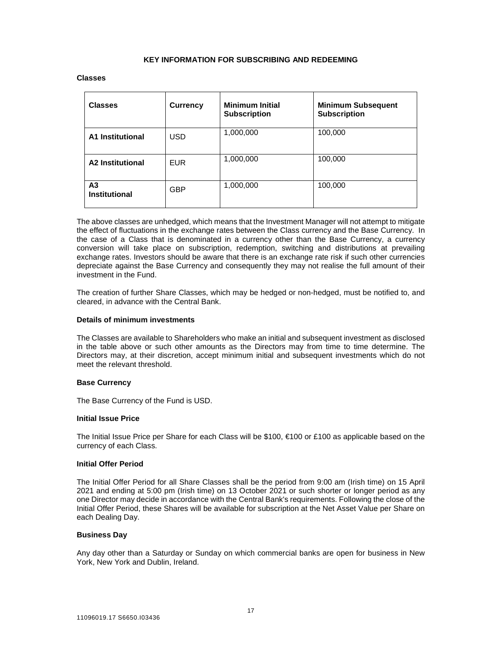#### **KEY INFORMATION FOR SUBSCRIBING AND REDEEMING**

#### **Classes**

| <b>Classes</b>             | <b>Currency</b> | <b>Minimum Initial</b><br><b>Subscription</b> | <b>Minimum Subsequent</b><br><b>Subscription</b> |
|----------------------------|-----------------|-----------------------------------------------|--------------------------------------------------|
| <b>A1 Institutional</b>    | <b>USD</b>      | 1,000,000                                     | 100,000                                          |
| <b>A2 Institutional</b>    | <b>EUR</b>      | 1,000,000                                     | 100,000                                          |
| A3<br><b>Institutional</b> | <b>GBP</b>      | 1,000,000                                     | 100,000                                          |

The above classes are unhedged, which means that the Investment Manager will not attempt to mitigate the effect of fluctuations in the exchange rates between the Class currency and the Base Currency. In the case of a Class that is denominated in a currency other than the Base Currency, a currency conversion will take place on subscription, redemption, switching and distributions at prevailing exchange rates. Investors should be aware that there is an exchange rate risk if such other currencies depreciate against the Base Currency and consequently they may not realise the full amount of their investment in the Fund.

The creation of further Share Classes, which may be hedged or non-hedged, must be notified to, and cleared, in advance with the Central Bank.

#### **Details of minimum investments**

The Classes are available to Shareholders who make an initial and subsequent investment as disclosed in the table above or such other amounts as the Directors may from time to time determine. The Directors may, at their discretion, accept minimum initial and subsequent investments which do not meet the relevant threshold.

#### **Base Currency**

The Base Currency of the Fund is USD.

#### **Initial Issue Price**

The Initial Issue Price per Share for each Class will be \$100, €100 or £100 as applicable based on the currency of each Class.

#### **Initial Offer Period**

The Initial Offer Period for all Share Classes shall be the period from 9:00 am (Irish time) on 15 April 2021 and ending at 5:00 pm (Irish time) on 13 October 2021 or such shorter or longer period as any one Director may decide in accordance with the Central Bank's requirements. Following the close of the Initial Offer Period, these Shares will be available for subscription at the Net Asset Value per Share on each Dealing Day.

#### **Business Day**

Any day other than a Saturday or Sunday on which commercial banks are open for business in New York, New York and Dublin, Ireland.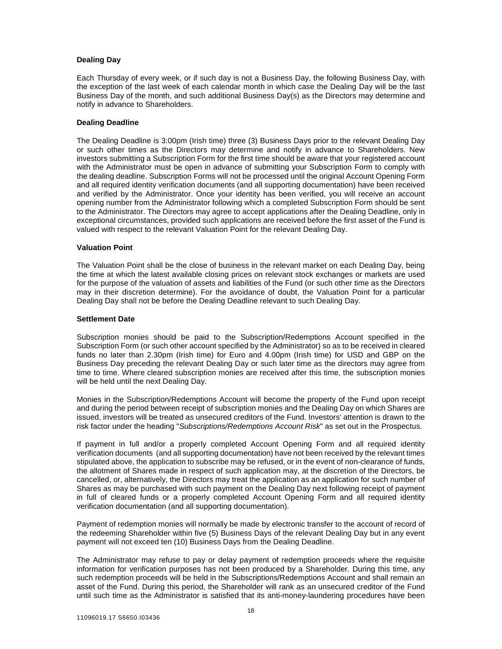### **Dealing Day**

Each Thursday of every week, or if such day is not a Business Day, the following Business Day, with the exception of the last week of each calendar month in which case the Dealing Day will be the last Business Day of the month, and such additional Business Day(s) as the Directors may determine and notify in advance to Shareholders.

#### **Dealing Deadline**

The Dealing Deadline is 3:00pm (Irish time) three (3) Business Days prior to the relevant Dealing Day or such other times as the Directors may determine and notify in advance to Shareholders. New investors submitting a Subscription Form for the first time should be aware that your registered account with the Administrator must be open in advance of submitting your Subscription Form to comply with the dealing deadline. Subscription Forms will not be processed until the original Account Opening Form and all required identity verification documents (and all supporting documentation) have been received and verified by the Administrator. Once your identity has been verified, you will receive an account opening number from the Administrator following which a completed Subscription Form should be sent to the Administrator. The Directors may agree to accept applications after the Dealing Deadline, only in exceptional circumstances, provided such applications are received before the first asset of the Fund is valued with respect to the relevant Valuation Point for the relevant Dealing Day.

#### **Valuation Point**

The Valuation Point shall be the close of business in the relevant market on each Dealing Day, being the time at which the latest available closing prices on relevant stock exchanges or markets are used for the purpose of the valuation of assets and liabilities of the Fund (or such other time as the Directors may in their discretion determine). For the avoidance of doubt, the Valuation Point for a particular Dealing Day shall not be before the Dealing Deadline relevant to such Dealing Day.

#### **Settlement Date**

Subscription monies should be paid to the Subscription/Redemptions Account specified in the Subscription Form (or such other account specified by the Administrator) so as to be received in cleared funds no later than 2.30pm (Irish time) for Euro and 4.00pm (Irish time) for USD and GBP on the Business Day preceding the relevant Dealing Day or such later time as the directors may agree from time to time. Where cleared subscription monies are received after this time, the subscription monies will be held until the next Dealing Day.

Monies in the Subscription/Redemptions Account will become the property of the Fund upon receipt and during the period between receipt of subscription monies and the Dealing Day on which Shares are issued, investors will be treated as unsecured creditors of the Fund. Investors' attention is drawn to the risk factor under the heading "*Subscriptions/Redemptions Account Risk*" as set out in the Prospectus.

If payment in full and/or a properly completed Account Opening Form and all required identity verification documents (and all supporting documentation) have not been received by the relevant times stipulated above, the application to subscribe may be refused, or in the event of non-clearance of funds, the allotment of Shares made in respect of such application may, at the discretion of the Directors, be cancelled, or, alternatively, the Directors may treat the application as an application for such number of Shares as may be purchased with such payment on the Dealing Day next following receipt of payment in full of cleared funds or a properly completed Account Opening Form and all required identity verification documentation (and all supporting documentation).

Payment of redemption monies will normally be made by electronic transfer to the account of record of the redeeming Shareholder within five (5) Business Days of the relevant Dealing Day but in any event payment will not exceed ten (10) Business Days from the Dealing Deadline.

The Administrator may refuse to pay or delay payment of redemption proceeds where the requisite information for verification purposes has not been produced by a Shareholder. During this time, any such redemption proceeds will be held in the Subscriptions/Redemptions Account and shall remain an asset of the Fund. During this period, the Shareholder will rank as an unsecured creditor of the Fund until such time as the Administrator is satisfied that its anti-money-laundering procedures have been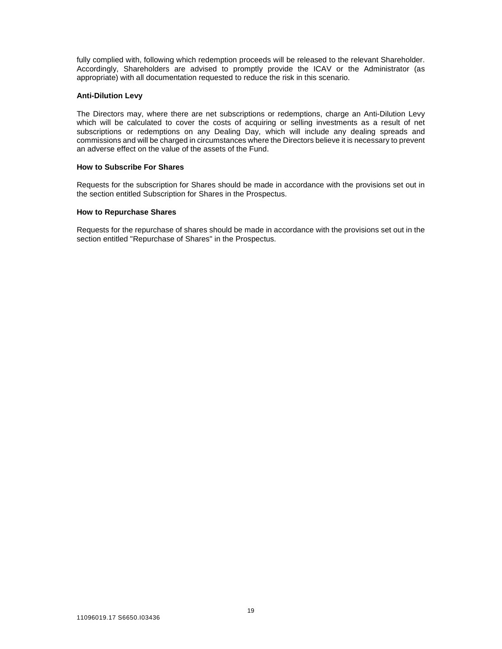fully complied with, following which redemption proceeds will be released to the relevant Shareholder. Accordingly, Shareholders are advised to promptly provide the ICAV or the Administrator (as appropriate) with all documentation requested to reduce the risk in this scenario.

#### **Anti-Dilution Levy**

The Directors may, where there are net subscriptions or redemptions, charge an Anti-Dilution Levy which will be calculated to cover the costs of acquiring or selling investments as a result of net subscriptions or redemptions on any Dealing Day, which will include any dealing spreads and commissions and will be charged in circumstances where the Directors believe it is necessary to prevent an adverse effect on the value of the assets of the Fund.

#### **How to Subscribe For Shares**

Requests for the subscription for Shares should be made in accordance with the provisions set out in the section entitled Subscription for Shares in the Prospectus.

#### **How to Repurchase Shares**

Requests for the repurchase of shares should be made in accordance with the provisions set out in the section entitled "Repurchase of Shares" in the Prospectus.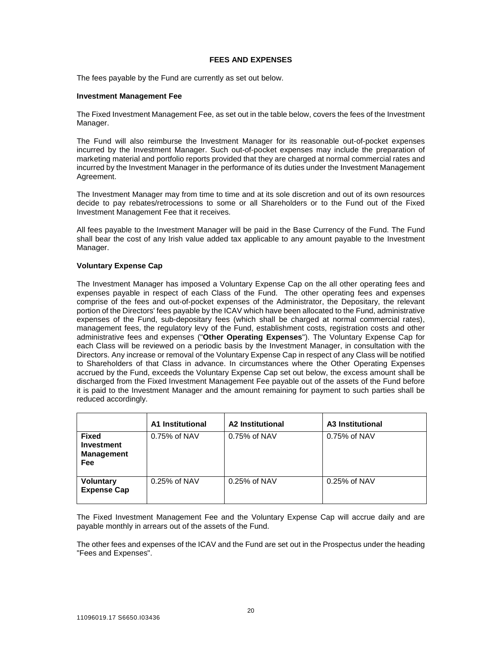#### **FEES AND EXPENSES**

The fees payable by the Fund are currently as set out below.

#### **Investment Management Fee**

The Fixed Investment Management Fee, as set out in the table below, covers the fees of the Investment Manager.

The Fund will also reimburse the Investment Manager for its reasonable out-of-pocket expenses incurred by the Investment Manager. Such out-of-pocket expenses may include the preparation of marketing material and portfolio reports provided that they are charged at normal commercial rates and incurred by the Investment Manager in the performance of its duties under the Investment Management Agreement.

The Investment Manager may from time to time and at its sole discretion and out of its own resources decide to pay rebates/retrocessions to some or all Shareholders or to the Fund out of the Fixed Investment Management Fee that it receives.

All fees payable to the Investment Manager will be paid in the Base Currency of the Fund. The Fund shall bear the cost of any Irish value added tax applicable to any amount payable to the Investment Manager.

#### **Voluntary Expense Cap**

The Investment Manager has imposed a Voluntary Expense Cap on the all other operating fees and expenses payable in respect of each Class of the Fund. The other operating fees and expenses comprise of the fees and out-of-pocket expenses of the Administrator, the Depositary, the relevant portion of the Directors' fees payable by the ICAV which have been allocated to the Fund, administrative expenses of the Fund, sub-depositary fees (which shall be charged at normal commercial rates), management fees, the regulatory levy of the Fund, establishment costs, registration costs and other administrative fees and expenses ("**Other Operating Expenses**"). The Voluntary Expense Cap for each Class will be reviewed on a periodic basis by the Investment Manager, in consultation with the Directors. Any increase or removal of the Voluntary Expense Cap in respect of any Class will be notified to Shareholders of that Class in advance. In circumstances where the Other Operating Expenses accrued by the Fund, exceeds the Voluntary Expense Cap set out below, the excess amount shall be discharged from the Fixed Investment Management Fee payable out of the assets of the Fund before it is paid to the Investment Manager and the amount remaining for payment to such parties shall be reduced accordingly.

|                                                        | A1 Institutional | A2 Institutional | A3 Institutional |
|--------------------------------------------------------|------------------|------------------|------------------|
| <b>Fixed</b><br>Investment<br><b>Management</b><br>Fee | 0.75% of NAV     | $0.75\%$ of NAV  | $0.75\%$ of NAV  |
| <b>Voluntary</b><br><b>Expense Cap</b>                 | 0.25% of NAV     | $0.25\%$ of NAV  | $0.25\%$ of NAV  |

The Fixed Investment Management Fee and the Voluntary Expense Cap will accrue daily and are payable monthly in arrears out of the assets of the Fund.

The other fees and expenses of the ICAV and the Fund are set out in the Prospectus under the heading "Fees and Expenses".